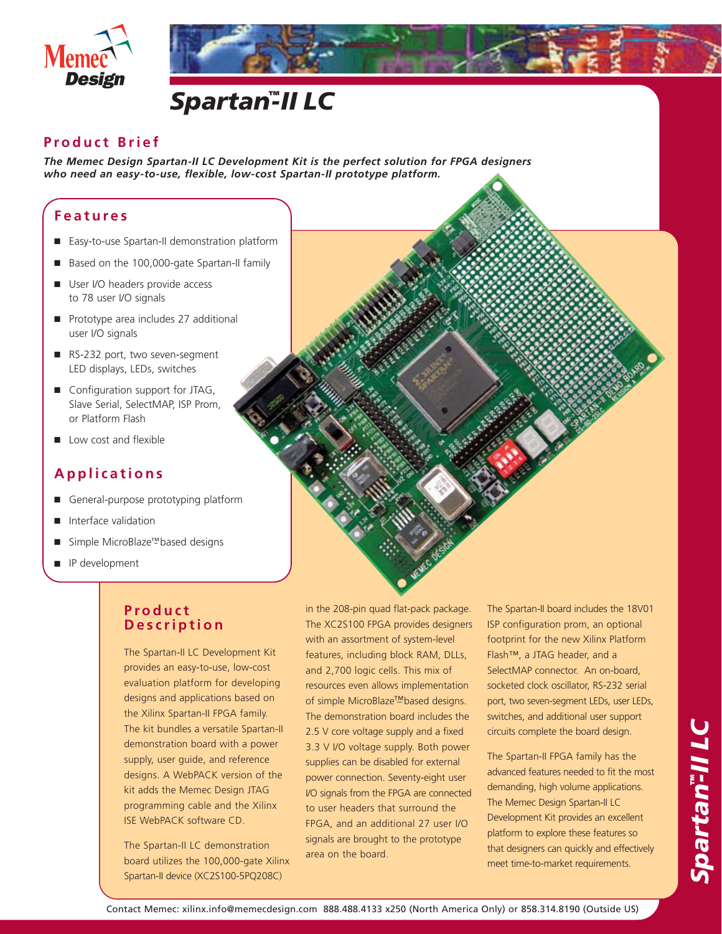

#### **Product Brief**

*The Memec Design Spartan-II LC Development Kit is the perfect solution for FPGA designers who need an easy-to-use, flexible, low-cost Spartan-II prototype platform.*

#### **Features**

- Easy-to-use Spartan-II demonstration platform
- Based on the 100,000-gate Spartan-II family
- User I/O headers provide access to 78 user I/O signals
- Prototype area includes 27 additional user I/O signals
- RS-232 port, two seven-segment LED displays, LEDs, switches
- Configuration support for JTAG, Slave Serial, SelectMAP, ISP Prom, or Platform Flash
- Low cost and flexible

## **Applications**

- General-purpose prototyping platform
- Interface validation
- Simple MicroBlaze<sup>™</sup> based designs
- IP development

## **Product Description**

The Spartan-II LC Development Kit provides an easy-to-use, low-cost evaluation platform for developing designs and applications based on the Xilinx Spartan-II FPGA family. The kit bundles a versatile Spartan-II demonstration board with a power supply, user guide, and reference designs. A WebPACK version of the kit adds the Memec Design JTAG programming cable and the Xilinx ISE WebPACK software CD.

The Spartan-II LC demonstration board utilizes the 100,000-gate Xilinx Spartan-II device (XC2S100-5PQ208C)

in the 208-pin quad flat-pack package. The XC2S100 FPGA provides designers with an assortment of system-level features, including block RAM, DLLs, and 2,700 logic cells. This mix of resources even allows implementation of simple MicroBlaze<sup>™</sup> based designs. The demonstration board includes the 2.5 V core voltage supply and a fixed 3.3 V I/O voltage supply. Both power supplies can be disabled for external power connection. Seventy-eight user I/O signals from the FPGA are connected to user headers that surround the FPGA, and an additional 27 user I/O signals are brought to the prototype area on the board.

The Spartan-II board includes the 18V01 ISP configuration prom, an optional footprint for the new Xilinx Platform Flash™, a JTAG header, and a SelectMAP connector. An on-board, socketed clock oscillator, RS-232 serial port, two seven-segment LEDs, user LEDs, switches, and additional user support circuits complete the board design.

The Spartan-II FPGA family has the advanced features needed to fit the most demanding, high volume applications. The Memec Design Spartan-II LC Development Kit provides an excellent platform to explore these features so that designers can quickly and effectively meet time-to-market requirements.